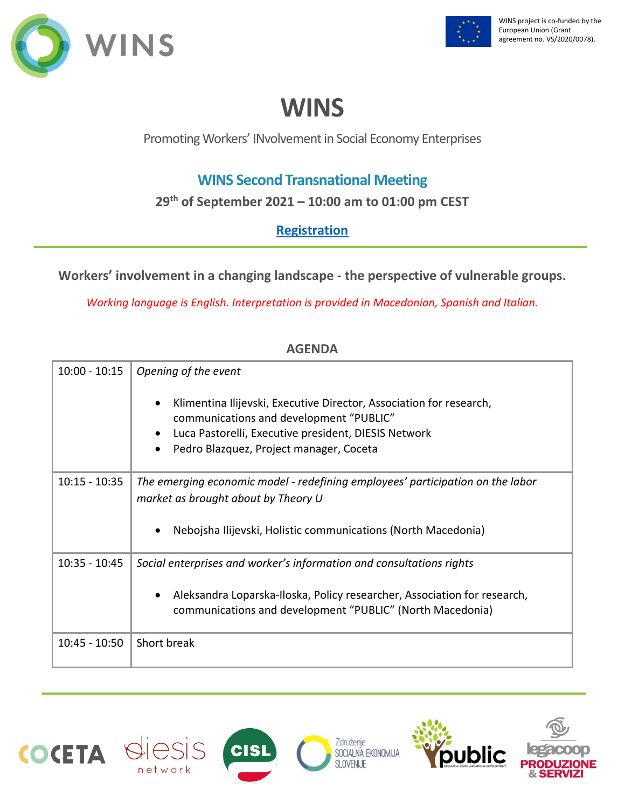



## **WINS**

Promoting Workers' INvolvement in Social Economy Enterprises

## **WINS Second Transnational Meeting**

**29th of September 2021 – 10:00 am to 01:00 pm CEST**

## **[Registration](https://us02web.zoom.us/meeting/register/tZYlcemorTIpH9Ev3BVRwMChbZ3NHAoOldeQ)**

**Workers' involvement in a changing landscape - the perspective of vulnerable groups.**

*Working language is English. Interpretation is provided in Macedonian, Spanish and Italian.*

**AGENDA**

| $10:00 - 10:15$ | Opening of the event<br>Klimentina Ilijevski, Executive Director, Association for research,<br>communications and development "PUBLIC"<br>Luca Pastorelli, Executive president, DIESIS Network<br>$\bullet$<br>Pedro Blazquez, Project manager, Coceta<br>$\bullet$ |
|-----------------|---------------------------------------------------------------------------------------------------------------------------------------------------------------------------------------------------------------------------------------------------------------------|
| $10:15 - 10:35$ | The emerging economic model - redefining employees' participation on the labor<br>market as brought about by Theory U<br>Nebojsha Ilijevski, Holistic communications (North Macedonia)<br>$\bullet$                                                                 |
| $10:35 - 10:45$ | Social enterprises and worker's information and consultations rights<br>Aleksandra Loparska-Iloska, Policy researcher, Association for research,<br>$\bullet$<br>communications and development "PUBLIC" (North Macedonia)                                          |
| $10:45 - 10:50$ | Short break                                                                                                                                                                                                                                                         |